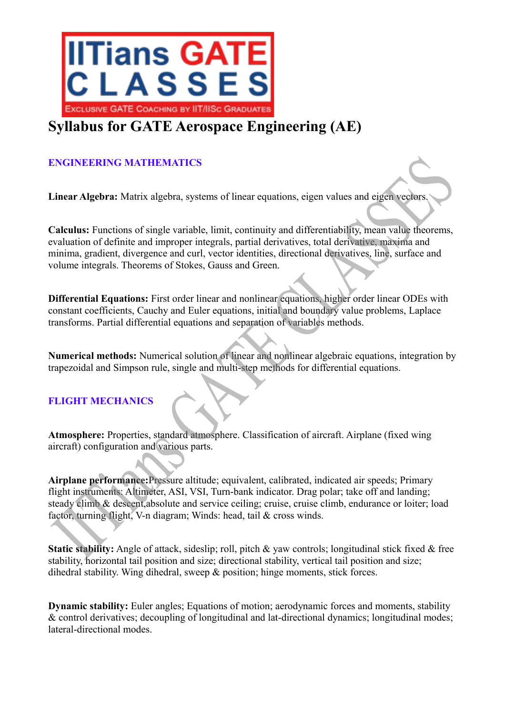

# **Syllabus for GATE Aerospace Engineering (AE)**

# **ENGINEERING MATHEMATICS**

**Linear Algebra:** Matrix algebra, systems of linear equations, eigen values and eigen vectors.

**Calculus:** Functions of single variable, limit, continuity and differentiability, mean value theorems, evaluation of definite and improper integrals, partial derivatives, total derivative, maxima and minima, gradient, divergence and curl, vector identities, directional derivatives, line, surface and volume integrals. Theorems of Stokes, Gauss and Green.

**Differential Equations:** First order linear and nonlinear equations, higher order linear ODEs with constant coefficients, Cauchy and Euler equations, initial and boundary value problems, Laplace transforms. Partial differential equations and separation of variables methods.

**Numerical methods:** Numerical solution of linear and nonlinear algebraic equations, integration by trapezoidal and Simpson rule, single and multi-step methods for differential equations.

#### **FLIGHT MECHANICS**

**Atmosphere:** Properties, standard atmosphere. Classification of aircraft. Airplane (fixed wing aircraft) configuration and various parts.

**Airplane performance:**Pressure altitude; equivalent, calibrated, indicated air speeds; Primary flight instruments: Altimeter, ASI, VSI, Turn-bank indicator. Drag polar; take off and landing; steady climb & descent,absolute and service ceiling; cruise, cruise climb, endurance or loiter; load factor, turning flight, V-n diagram; Winds: head, tail & cross winds.

**Static stability:** Angle of attack, sideslip; roll, pitch & yaw controls; longitudinal stick fixed & free stability, horizontal tail position and size; directional stability, vertical tail position and size; dihedral stability. Wing dihedral, sweep & position; hinge moments, stick forces.

**Dynamic stability:** Euler angles: Equations of motion; aerodynamic forces and moments, stability & control derivatives; decoupling of longitudinal and lat-directional dynamics; longitudinal modes; lateral-directional modes.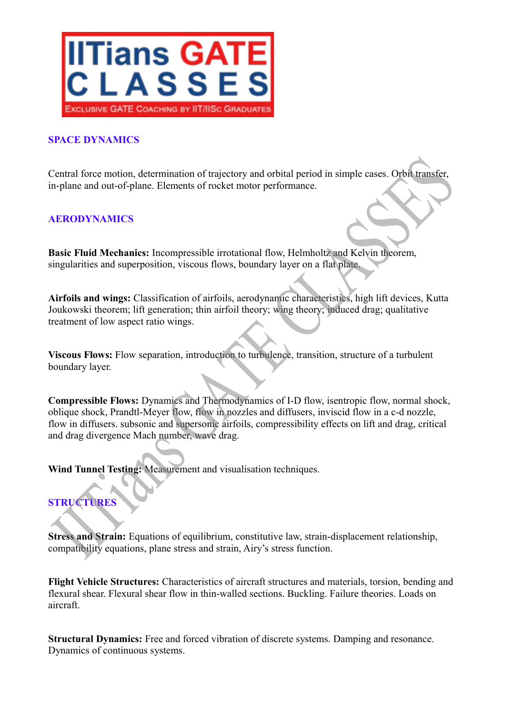

## **SPACE DYNAMICS**

Central force motion, determination of trajectory and orbital period in simple cases. Orbit transfer, in-plane and out-of-plane. Elements of rocket motor performance.

## **AERODYNAMICS**

**Basic Fluid Mechanics:** Incompressible irrotational flow, Helmholtz and Kelvin theorem, singularities and superposition, viscous flows, boundary layer on a flat plate.

**Airfoils and wings:** Classification of airfoils, aerodynamic characteristics, high lift devices, Kutta Joukowski theorem; lift generation; thin airfoil theory; wing theory; induced drag; qualitative treatment of low aspect ratio wings.

**Viscous Flows:** Flow separation, introduction to turbulence, transition, structure of a turbulent boundary layer.

**Compressible Flows:** Dynamics and Thermodynamics of I-D flow, isentropic flow, normal shock, oblique shock, Prandtl-Meyer flow, flow in nozzles and diffusers, inviscid flow in a c-d nozzle, flow in diffusers. subsonic and supersonic airfoils, compressibility effects on lift and drag, critical and drag divergence Mach number, wave drag.

**Wind Tunnel Testing:** Measurement and visualisation techniques.

# **STRUCTURES**

**Stress and Strain:** Equations of equilibrium, constitutive law, strain-displacement relationship, compatibility equations, plane stress and strain, Airy's stress function.

**Flight Vehicle Structures:** Characteristics of aircraft structures and materials, torsion, bending and flexural shear. Flexural shear flow in thin-walled sections. Buckling. Failure theories. Loads on aircraft.

**Structural Dynamics:** Free and forced vibration of discrete systems. Damping and resonance. Dynamics of continuous systems.